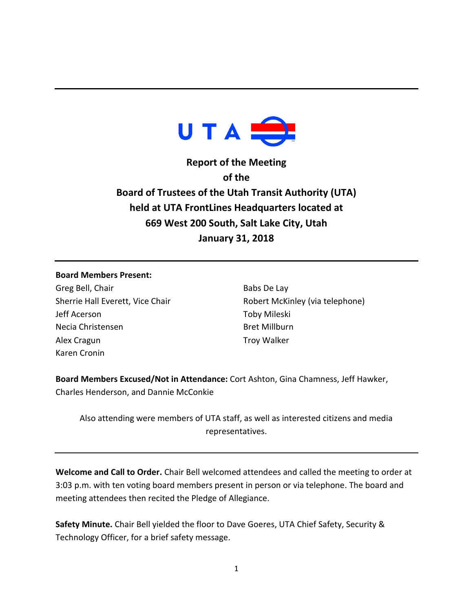

**Report of the Meeting of the Board of Trustees of the Utah Transit Authority (UTA) held at UTA FrontLines Headquarters located at 669 West 200 South, Salt Lake City, Utah January 31, 2018**

## **Board Members Present:**

Greg Bell, Chair Sherrie Hall Everett, Vice Chair Jeff Acerson Necia Christensen Alex Cragun Karen Cronin

Babs De Lay Robert McKinley (via telephone) Toby Mileski Bret Millburn Troy Walker

**Board Members Excused/Not in Attendance:** Cort Ashton, Gina Chamness, Jeff Hawker, Charles Henderson, and Dannie McConkie

Also attending were members of UTA staff, as well as interested citizens and media representatives.

**Welcome and Call to Order.** Chair Bell welcomed attendees and called the meeting to order at 3:03 p.m. with ten voting board members present in person or via telephone. The board and meeting attendees then recited the Pledge of Allegiance.

**Safety Minute.** Chair Bell yielded the floor to Dave Goeres, UTA Chief Safety, Security & Technology Officer, for a brief safety message.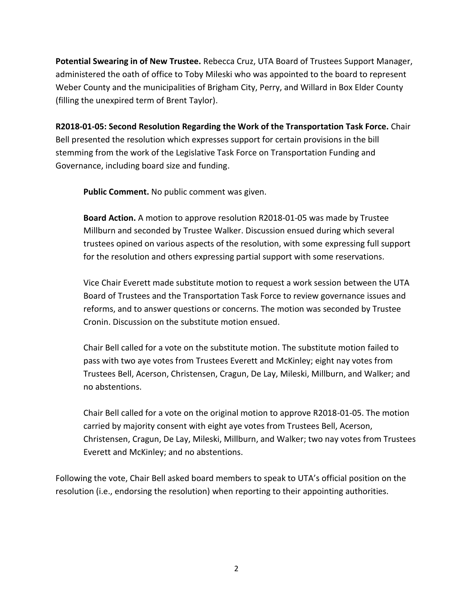**Potential Swearing in of New Trustee.** Rebecca Cruz, UTA Board of Trustees Support Manager, administered the oath of office to Toby Mileski who was appointed to the board to represent Weber County and the municipalities of Brigham City, Perry, and Willard in Box Elder County (filling the unexpired term of Brent Taylor).

**R2018-01-05: Second Resolution Regarding the Work of the Transportation Task Force.** Chair Bell presented the resolution which expresses support for certain provisions in the bill stemming from the work of the Legislative Task Force on Transportation Funding and Governance, including board size and funding.

**Public Comment.** No public comment was given.

**Board Action.** A motion to approve resolution R2018-01-05 was made by Trustee Millburn and seconded by Trustee Walker. Discussion ensued during which several trustees opined on various aspects of the resolution, with some expressing full support for the resolution and others expressing partial support with some reservations.

Vice Chair Everett made substitute motion to request a work session between the UTA Board of Trustees and the Transportation Task Force to review governance issues and reforms, and to answer questions or concerns. The motion was seconded by Trustee Cronin. Discussion on the substitute motion ensued.

Chair Bell called for a vote on the substitute motion. The substitute motion failed to pass with two aye votes from Trustees Everett and McKinley; eight nay votes from Trustees Bell, Acerson, Christensen, Cragun, De Lay, Mileski, Millburn, and Walker; and no abstentions.

Chair Bell called for a vote on the original motion to approve R2018-01-05. The motion carried by majority consent with eight aye votes from Trustees Bell, Acerson, Christensen, Cragun, De Lay, Mileski, Millburn, and Walker; two nay votes from Trustees Everett and McKinley; and no abstentions.

Following the vote, Chair Bell asked board members to speak to UTA's official position on the resolution (i.e., endorsing the resolution) when reporting to their appointing authorities.